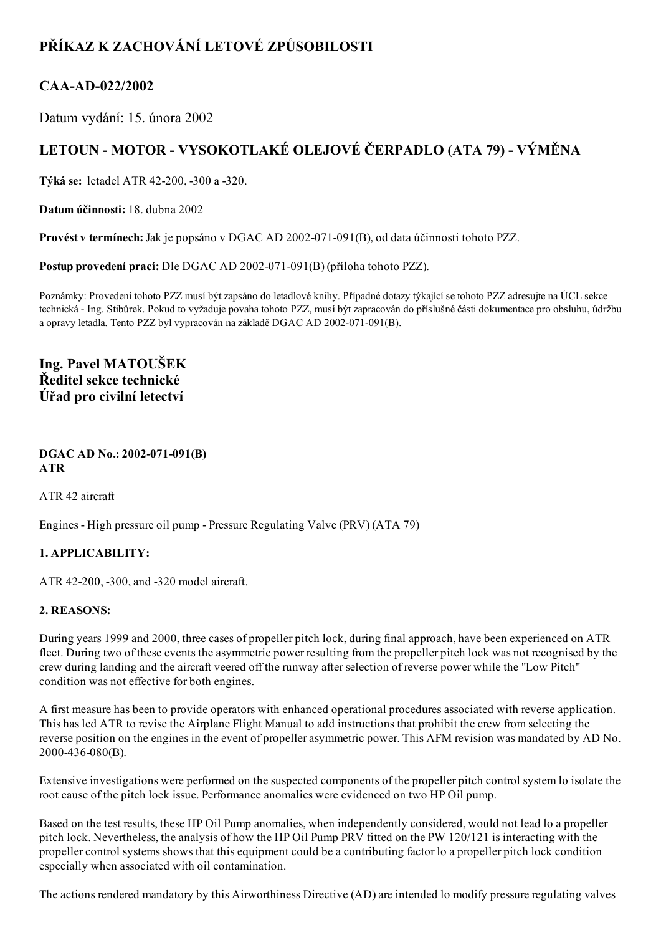# PŘÍKAZ K ZACHOVÁNÍ LETOVÉ ZPŮSOBILOSTI

### CAA-AD-022/2002

Datum vydání: 15. února 2002

## LETOUN - MOTOR - VYSOKOTLAKÉ OLEJOVÉ ČERPADLO (ATA 79) - VÝMĚNA

Týká se: letadel ATR 42-200, -300 a -320.

Datum účinnosti: 18. dubna 2002

Provést v termínech: Jak je popsáno v DGAC AD 2002-071-091(B), od data účinnosti tohoto PZZ.

Postup provedení prací: Dle DGAC AD 2002-071-091(B) (příloha tohoto PZZ).

Poznámky: Provedení tohoto PZZ musí být zapsáno do letadlové knihy. Případné dotazy týkající se tohoto PZZ adresujte na ÚCL sekce technická Ing. Stibůrek. Pokud to vyžaduje povaha tohoto PZZ, musí být zapracován do příslušné části dokumentace pro obsluhu, údržbu a opravy letadla. Tento PZZ byl vypracován na základě DGAC AD 2002-071-091(B).

Ing. Pavel MATOUŠEK Ředitel sekce technické Úřad pro civilní letectví

#### DGAC AD No.: 2002-071-091(B) ATR

ATR 42 aircraft

Engines - High pressure oil pump - Pressure Regulating Valve (PRV) (ATA 79)

#### 1. APPLICABILITY:

ATR 42-200, -300, and -320 model aircraft.

#### 2. REASONS:

During years 1999 and 2000, three cases of propeller pitch lock, during final approach, have been experienced on ATR fleet. During two of these events the asymmetric power resulting from the propeller pitch lock was not recognised by the crew during landing and the aircraft veered off the runway afterselection of reverse power while the "Low Pitch" condition was not effective for both engines.

A first measure has been to provide operators with enhanced operational procedures associated with reverse application. This has led ATR to revise the Airplane Flight Manual to add instructions that prohibit the crew from selecting the reverse position on the engines in the event of propeller asymmetric power. This AFM revision was mandated by AD No. 2000-436-080(B).

Extensive investigations were performed on the suspected components of the propeller pitch control system lo isolate the root cause of the pitch lock issue. Performance anomalies were evidenced on two HP Oil pump.

Based on the test results, these HP Oil Pump anomalies, when independently considered, would not lead lo a propeller pitch lock. Nevertheless, the analysis of how the HP Oil Pump PRV fitted on the PW 120/121 is interacting with the propeller control systems shows that this equipment could be a contributing factor lo a propeller pitch lock condition especially when associated with oil contamination.

The actions rendered mandatory by this Airworthiness Directive (AD) are intended lo modify pressure regulating valves